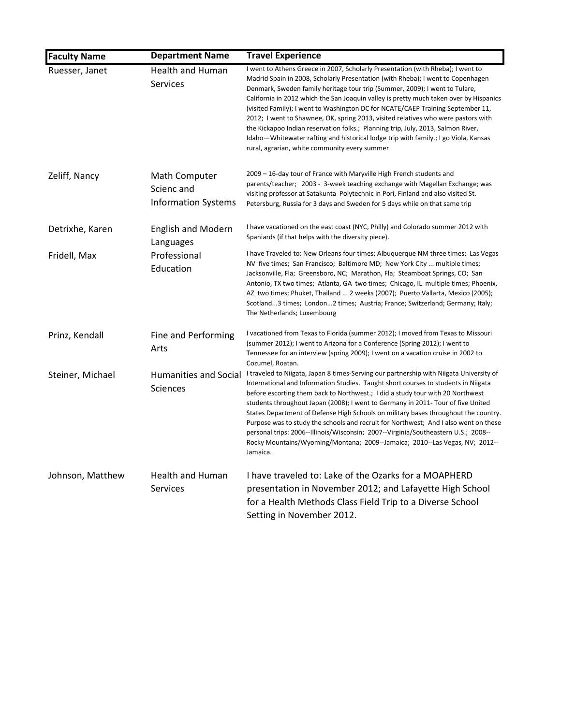| <b>Faculty Name</b> | <b>Department Name</b>                                    | <b>Travel Experience</b>                                                                                                                                                                                                                                                                                                                                                                                                                                                                                                                                                                                                                                                                                                                        |
|---------------------|-----------------------------------------------------------|-------------------------------------------------------------------------------------------------------------------------------------------------------------------------------------------------------------------------------------------------------------------------------------------------------------------------------------------------------------------------------------------------------------------------------------------------------------------------------------------------------------------------------------------------------------------------------------------------------------------------------------------------------------------------------------------------------------------------------------------------|
| Ruesser, Janet      | <b>Health and Human</b><br>Services                       | I went to Athens Greece in 2007, Scholarly Presentation (with Rheba); I went to<br>Madrid Spain in 2008, Scholarly Presentation (with Rheba); I went to Copenhagen<br>Denmark, Sweden family heritage tour trip (Summer, 2009); I went to Tulare,<br>California in 2012 which the San Joaquin valley is pretty much taken over by Hispanics<br>(visited Family); I went to Washington DC for NCATE/CAEP Training September 11,<br>2012; I went to Shawnee, OK, spring 2013, visited relatives who were pastors with<br>the Kickapoo Indian reservation folks.; Planning trip, July, 2013, Salmon River,<br>Idaho—Whitewater rafting and historical lodge trip with family.; I go Viola, Kansas<br>rural, agrarian, white community every summer |
| Zeliff, Nancy       | Math Computer<br>Scienc and<br><b>Information Systems</b> | 2009 – 16-day tour of France with Maryville High French students and<br>parents/teacher; 2003 - 3-week teaching exchange with Magellan Exchange; was<br>visiting professor at Satakunta Polytechnic in Pori, Finland and also visited St.<br>Petersburg, Russia for 3 days and Sweden for 5 days while on that same trip                                                                                                                                                                                                                                                                                                                                                                                                                        |
| Detrixhe, Karen     | <b>English and Modern</b><br>Languages                    | I have vacationed on the east coast (NYC, Philly) and Colorado summer 2012 with<br>Spaniards (if that helps with the diversity piece).                                                                                                                                                                                                                                                                                                                                                                                                                                                                                                                                                                                                          |
| Fridell, Max        | Professional<br>Education                                 | I have Traveled to: New Orleans four times; Albuquerque NM three times; Las Vegas<br>NV five times; San Francisco; Baltimore MD; New York City  multiple times;<br>Jacksonville, Fla; Greensboro, NC; Marathon, Fla; Steamboat Springs, CO; San<br>Antonio, TX two times; Atlanta, GA two times; Chicago, IL multiple times; Phoenix,<br>AZ two times; Phuket, Thailand  2 weeks (2007); Puerto Vallarta, Mexico (2005);<br>Scotland3 times; London2 times; Austria; France; Switzerland; Germany; Italy;<br>The Netherlands; Luxembourg                                                                                                                                                                                                        |
| Prinz, Kendall      | Fine and Performing<br>Arts                               | I vacationed from Texas to Florida (summer 2012); I moved from Texas to Missouri<br>(summer 2012); I went to Arizona for a Conference (Spring 2012); I went to<br>Tennessee for an interview (spring 2009); I went on a vacation cruise in 2002 to<br>Cozumel, Roatan.                                                                                                                                                                                                                                                                                                                                                                                                                                                                          |
| Steiner, Michael    | <b>Humanities and Social</b><br><b>Sciences</b>           | I traveled to Niigata, Japan 8 times-Serving our partnership with Niigata University of<br>International and Information Studies. Taught short courses to students in Niigata<br>before escorting them back to Northwest.; I did a study tour with 20 Northwest<br>students throughout Japan (2008); I went to Germany in 2011- Tour of five United<br>States Department of Defense High Schools on military bases throughout the country.<br>Purpose was to study the schools and recruit for Northwest; And I also went on these<br>personal trips: 2006--Illinois/Wisconsin; 2007--Virginia/Southeastern U.S.; 2008--<br>Rocky Mountains/Wyoming/Montana; 2009--Jamaica; 2010--Las Vegas, NV; 2012--<br>Jamaica.                             |
| Johnson, Matthew    | <b>Health and Human</b><br><b>Services</b>                | I have traveled to: Lake of the Ozarks for a MOAPHERD<br>presentation in November 2012; and Lafayette High School<br>for a Health Methods Class Field Trip to a Diverse School<br>Setting in November 2012.                                                                                                                                                                                                                                                                                                                                                                                                                                                                                                                                     |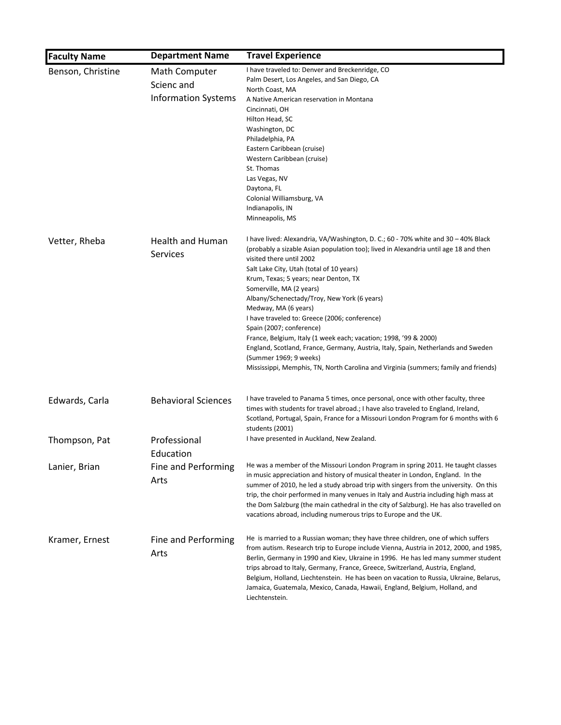| <b>Faculty Name</b> | <b>Department Name</b>     | <b>Travel Experience</b>                                                                                                                                                     |
|---------------------|----------------------------|------------------------------------------------------------------------------------------------------------------------------------------------------------------------------|
| Benson, Christine   | Math Computer              | I have traveled to: Denver and Breckenridge, CO                                                                                                                              |
|                     | Scienc and                 | Palm Desert, Los Angeles, and San Diego, CA                                                                                                                                  |
|                     |                            | North Coast, MA                                                                                                                                                              |
|                     | <b>Information Systems</b> | A Native American reservation in Montana                                                                                                                                     |
|                     |                            | Cincinnati, OH                                                                                                                                                               |
|                     |                            | Hilton Head, SC                                                                                                                                                              |
|                     |                            | Washington, DC                                                                                                                                                               |
|                     |                            | Philadelphia, PA                                                                                                                                                             |
|                     |                            | Eastern Caribbean (cruise)                                                                                                                                                   |
|                     |                            | Western Caribbean (cruise)<br>St. Thomas                                                                                                                                     |
|                     |                            | Las Vegas, NV                                                                                                                                                                |
|                     |                            | Daytona, FL                                                                                                                                                                  |
|                     |                            | Colonial Williamsburg, VA                                                                                                                                                    |
|                     |                            | Indianapolis, IN                                                                                                                                                             |
|                     |                            | Minneapolis, MS                                                                                                                                                              |
| Vetter, Rheba       | <b>Health and Human</b>    | I have lived: Alexandria, VA/Washington, D. C.; 60 - 70% white and 30 - 40% Black                                                                                            |
|                     |                            | (probably a sizable Asian population too); lived in Alexandria until age 18 and then                                                                                         |
|                     | Services                   | visited there until 2002                                                                                                                                                     |
|                     |                            | Salt Lake City, Utah (total of 10 years)                                                                                                                                     |
|                     |                            | Krum, Texas; 5 years; near Denton, TX                                                                                                                                        |
|                     |                            | Somerville, MA (2 years)                                                                                                                                                     |
|                     |                            | Albany/Schenectady/Troy, New York (6 years)                                                                                                                                  |
|                     |                            | Medway, MA (6 years)                                                                                                                                                         |
|                     |                            | I have traveled to: Greece (2006; conference)                                                                                                                                |
|                     |                            | Spain (2007; conference)                                                                                                                                                     |
|                     |                            | France, Belgium, Italy (1 week each; vacation; 1998, '99 & 2000)                                                                                                             |
|                     |                            | England, Scotland, France, Germany, Austria, Italy, Spain, Netherlands and Sweden                                                                                            |
|                     |                            | (Summer 1969; 9 weeks)                                                                                                                                                       |
|                     |                            | Mississippi, Memphis, TN, North Carolina and Virginia (summers; family and friends)                                                                                          |
|                     |                            | I have traveled to Panama 5 times, once personal, once with other faculty, three                                                                                             |
| Edwards, Carla      | <b>Behavioral Sciences</b> | times with students for travel abroad.; I have also traveled to England, Ireland,                                                                                            |
|                     |                            | Scotland, Portugal, Spain, France for a Missouri London Program for 6 months with 6                                                                                          |
|                     |                            | students (2001)                                                                                                                                                              |
| Thompson, Pat       | Professional               | I have presented in Auckland, New Zealand.                                                                                                                                   |
|                     |                            |                                                                                                                                                                              |
|                     | Education                  |                                                                                                                                                                              |
| Lanier, Brian       | Fine and Performing        | He was a member of the Missouri London Program in spring 2011. He taught classes                                                                                             |
|                     | Arts                       | in music appreciation and history of musical theater in London, England. In the                                                                                              |
|                     |                            | summer of 2010, he led a study abroad trip with singers from the university. On this<br>trip, the choir performed in many venues in Italy and Austria including high mass at |
|                     |                            | the Dom Salzburg (the main cathedral in the city of Salzburg). He has also travelled on                                                                                      |
|                     |                            | vacations abroad, including numerous trips to Europe and the UK.                                                                                                             |
|                     |                            | He is married to a Russian woman; they have three children, one of which suffers                                                                                             |
| Kramer, Ernest      | Fine and Performing        | from autism. Research trip to Europe include Vienna, Austria in 2012, 2000, and 1985,                                                                                        |
|                     | Arts                       | Berlin, Germany in 1990 and Kiev, Ukraine in 1996. He has led many summer student                                                                                            |
|                     |                            | trips abroad to Italy, Germany, France, Greece, Switzerland, Austria, England,                                                                                               |
|                     |                            | Belgium, Holland, Liechtenstein. He has been on vacation to Russia, Ukraine, Belarus,                                                                                        |
|                     |                            | Jamaica, Guatemala, Mexico, Canada, Hawaii, England, Belgium, Holland, and                                                                                                   |
|                     |                            | Liechtenstein.                                                                                                                                                               |
|                     |                            |                                                                                                                                                                              |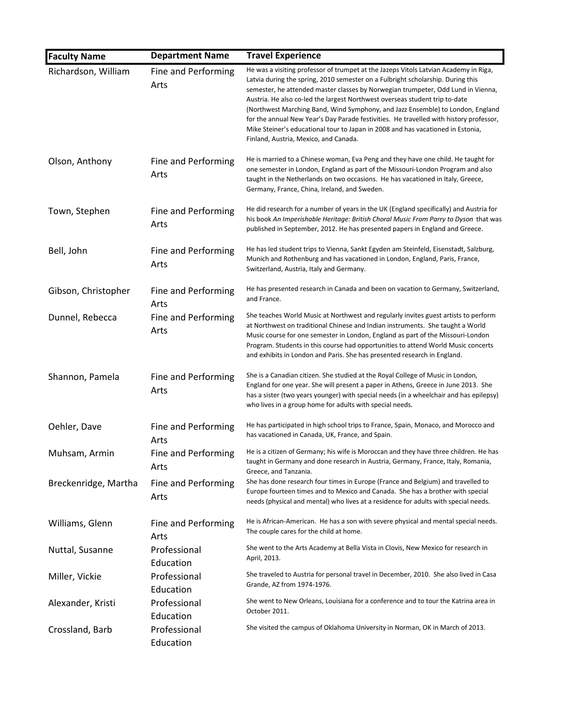| <b>Faculty Name</b>  | <b>Department Name</b>      | <b>Travel Experience</b>                                                                                                                                                                                                                                                                                                                                                                                                                                                                                                                                                                                                                           |
|----------------------|-----------------------------|----------------------------------------------------------------------------------------------------------------------------------------------------------------------------------------------------------------------------------------------------------------------------------------------------------------------------------------------------------------------------------------------------------------------------------------------------------------------------------------------------------------------------------------------------------------------------------------------------------------------------------------------------|
| Richardson, William  | Fine and Performing<br>Arts | He was a visiting professor of trumpet at the Jazeps Vitols Latvian Academy in Riga,<br>Latvia during the spring, 2010 semester on a Fulbright scholarship. During this<br>semester, he attended master classes by Norwegian trumpeter, Odd Lund in Vienna,<br>Austria. He also co-led the largest Northwest overseas student trip to-date<br>(Northwest Marching Band, Wind Symphony, and Jazz Ensemble) to London, England<br>for the annual New Year's Day Parade festivities. He travelled with history professor,<br>Mike Steiner's educational tour to Japan in 2008 and has vacationed in Estonia,<br>Finland, Austria, Mexico, and Canada. |
| Olson, Anthony       | Fine and Performing<br>Arts | He is married to a Chinese woman, Eva Peng and they have one child. He taught for<br>one semester in London, England as part of the Missouri-London Program and also<br>taught in the Netherlands on two occasions. He has vacationed in Italy, Greece,<br>Germany, France, China, Ireland, and Sweden.                                                                                                                                                                                                                                                                                                                                            |
| Town, Stephen        | Fine and Performing<br>Arts | He did research for a number of years in the UK (England specifically) and Austria for<br>his book An Imperishable Heritage: British Choral Music From Parry to Dyson that was<br>published in September, 2012. He has presented papers in England and Greece.                                                                                                                                                                                                                                                                                                                                                                                     |
| Bell, John           | Fine and Performing<br>Arts | He has led student trips to Vienna, Sankt Egyden am Steinfeld, Eisenstadt, Salzburg,<br>Munich and Rothenburg and has vacationed in London, England, Paris, France,<br>Switzerland, Austria, Italy and Germany.                                                                                                                                                                                                                                                                                                                                                                                                                                    |
| Gibson, Christopher  | Fine and Performing<br>Arts | He has presented research in Canada and been on vacation to Germany, Switzerland,<br>and France.                                                                                                                                                                                                                                                                                                                                                                                                                                                                                                                                                   |
| Dunnel, Rebecca      | Fine and Performing<br>Arts | She teaches World Music at Northwest and regularly invites guest artists to perform<br>at Northwest on traditional Chinese and Indian instruments. She taught a World<br>Music course for one semester in London, England as part of the Missouri-London<br>Program. Students in this course had opportunities to attend World Music concerts<br>and exhibits in London and Paris. She has presented research in England.                                                                                                                                                                                                                          |
| Shannon, Pamela      | Fine and Performing<br>Arts | She is a Canadian citizen. She studied at the Royal College of Music in London,<br>England for one year. She will present a paper in Athens, Greece in June 2013. She<br>has a sister (two years younger) with special needs (in a wheelchair and has epilepsy)<br>who lives in a group home for adults with special needs.                                                                                                                                                                                                                                                                                                                        |
| Oehler, Dave         | Fine and Performing<br>Arts | He has participated in high school trips to France, Spain, Monaco, and Morocco and<br>has vacationed in Canada, UK, France, and Spain.                                                                                                                                                                                                                                                                                                                                                                                                                                                                                                             |
| Muhsam, Armin        | Fine and Performing<br>Arts | He is a citizen of Germany; his wife is Moroccan and they have three children. He has<br>taught in Germany and done research in Austria, Germany, France, Italy, Romania,<br>Greece, and Tanzania.                                                                                                                                                                                                                                                                                                                                                                                                                                                 |
| Breckenridge, Martha | Fine and Performing<br>Arts | She has done research four times in Europe (France and Belgium) and travelled to<br>Europe fourteen times and to Mexico and Canada. She has a brother with special<br>needs (physical and mental) who lives at a residence for adults with special needs.                                                                                                                                                                                                                                                                                                                                                                                          |
| Williams, Glenn      | Fine and Performing<br>Arts | He is African-American. He has a son with severe physical and mental special needs.<br>The couple cares for the child at home.                                                                                                                                                                                                                                                                                                                                                                                                                                                                                                                     |
| Nuttal, Susanne      | Professional<br>Education   | She went to the Arts Academy at Bella Vista in Clovis, New Mexico for research in<br>April, 2013.                                                                                                                                                                                                                                                                                                                                                                                                                                                                                                                                                  |
| Miller, Vickie       | Professional<br>Education   | She traveled to Austria for personal travel in December, 2010. She also lived in Casa<br>Grande, AZ from 1974-1976.                                                                                                                                                                                                                                                                                                                                                                                                                                                                                                                                |
| Alexander, Kristi    | Professional<br>Education   | She went to New Orleans, Louisiana for a conference and to tour the Katrina area in<br>October 2011.                                                                                                                                                                                                                                                                                                                                                                                                                                                                                                                                               |
| Crossland, Barb      | Professional<br>Education   | She visited the campus of Oklahoma University in Norman, OK in March of 2013.                                                                                                                                                                                                                                                                                                                                                                                                                                                                                                                                                                      |